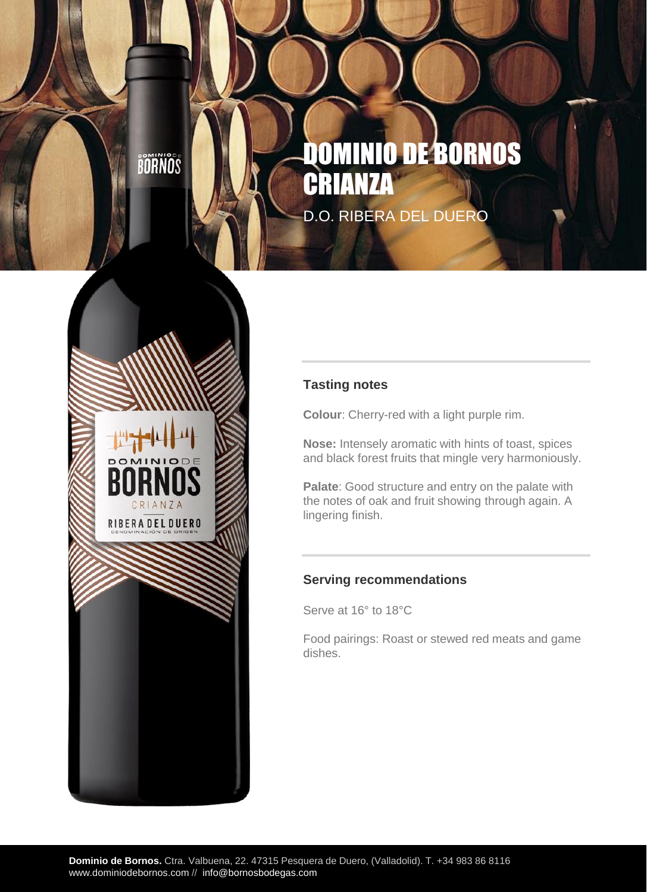BOANOS

CRIANZA RIBERA DEL DUERO

# DOMINIO DE BORNOS CRIANZ D.O. RIBERA DEL DUERO



**Colour**: Cherry-red with a light purple rim.

**Nose:** Intensely aromatic with hints of toast, spices and black forest fruits that mingle very harmoniously.

**Palate**: Good structure and entry on the palate with the notes of oak and fruit showing through again. A lingering finish.

#### **Serving recommendations**

Serve at 16° to 18°C

Food pairings: Roast or stewed red meats and game dishes.